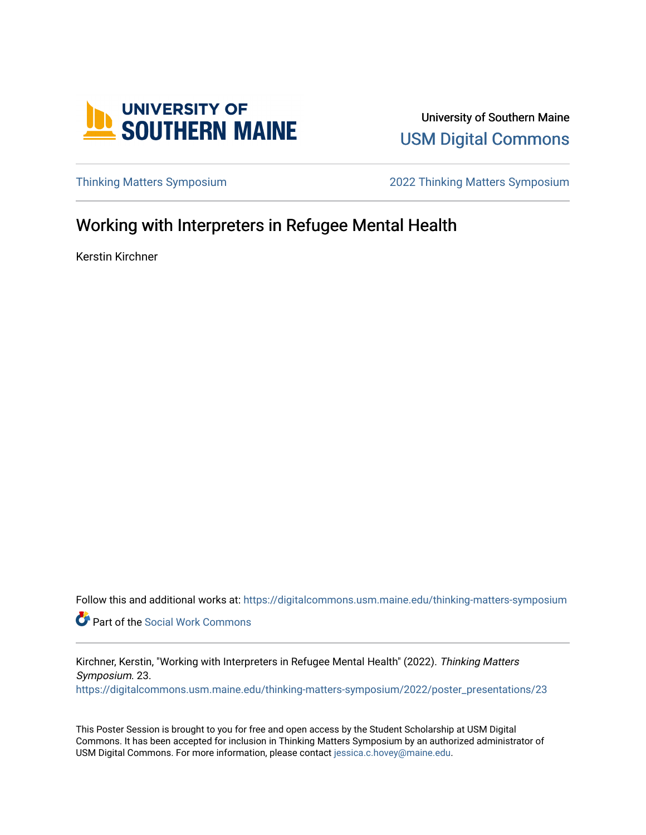

University of Southern Maine [USM Digital Commons](https://digitalcommons.usm.maine.edu/) 

[Thinking Matters Symposium](https://digitalcommons.usm.maine.edu/thinking-matters-symposium) [2022 Thinking Matters Symposium](https://digitalcommons.usm.maine.edu/thinking-matters-symposium/2022) 

#### Working with Interpreters in Refugee Mental Health

Kerstin Kirchner

Follow this and additional works at: [https://digitalcommons.usm.maine.edu/thinking-matters-symposium](https://digitalcommons.usm.maine.edu/thinking-matters-symposium?utm_source=digitalcommons.usm.maine.edu%2Fthinking-matters-symposium%2F2022%2Fposter_presentations%2F23&utm_medium=PDF&utm_campaign=PDFCoverPages) 

Part of the [Social Work Commons](http://network.bepress.com/hgg/discipline/713?utm_source=digitalcommons.usm.maine.edu%2Fthinking-matters-symposium%2F2022%2Fposter_presentations%2F23&utm_medium=PDF&utm_campaign=PDFCoverPages)

Kirchner, Kerstin, "Working with Interpreters in Refugee Mental Health" (2022). Thinking Matters Symposium. 23. [https://digitalcommons.usm.maine.edu/thinking-matters-symposium/2022/poster\\_presentations/23](https://digitalcommons.usm.maine.edu/thinking-matters-symposium/2022/poster_presentations/23?utm_source=digitalcommons.usm.maine.edu%2Fthinking-matters-symposium%2F2022%2Fposter_presentations%2F23&utm_medium=PDF&utm_campaign=PDFCoverPages) 

This Poster Session is brought to you for free and open access by the Student Scholarship at USM Digital Commons. It has been accepted for inclusion in Thinking Matters Symposium by an authorized administrator of USM Digital Commons. For more information, please contact [jessica.c.hovey@maine.edu](mailto:ian.fowler@maine.edu).